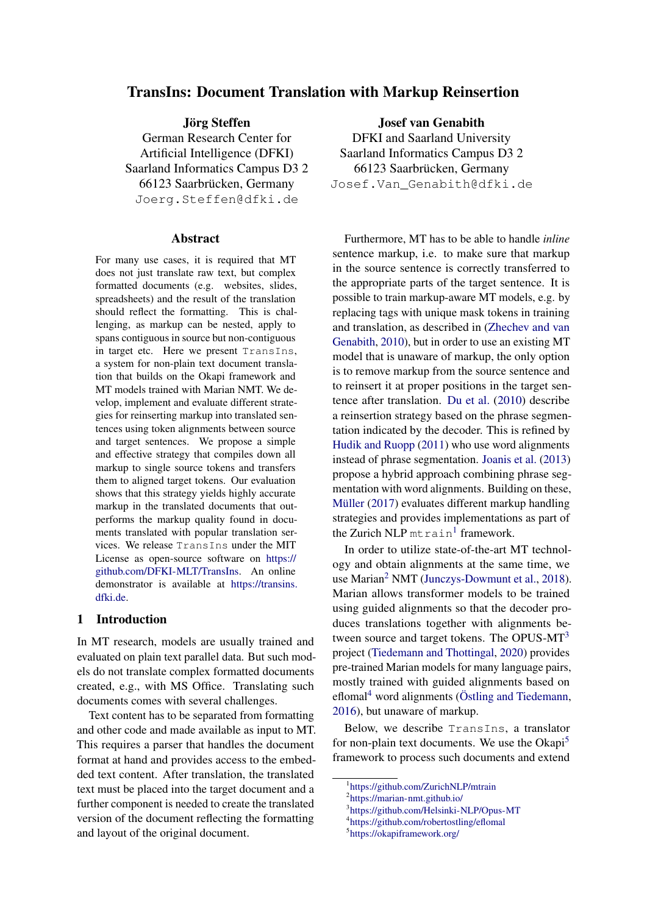# TransIns: Document Translation with Markup Reinsertion

Jörg Steffen

German Research Center for Artificial Intelligence (DFKI) Saarland Informatics Campus D3 2 66123 Saarbrücken, Germany Joerg.Steffen@dfki.de

#### Abstract

For many use cases, it is required that MT does not just translate raw text, but complex formatted documents (e.g. websites, slides, spreadsheets) and the result of the translation should reflect the formatting. This is challenging, as markup can be nested, apply to spans contiguous in source but non-contiguous in target etc. Here we present TransIns, a system for non-plain text document translation that builds on the Okapi framework and MT models trained with Marian NMT. We develop, implement and evaluate different strategies for reinserting markup into translated sentences using token alignments between source and target sentences. We propose a simple and effective strategy that compiles down all markup to single source tokens and transfers them to aligned target tokens. Our evaluation shows that this strategy yields highly accurate markup in the translated documents that outperforms the markup quality found in documents translated with popular translation services. We release TransIns under the MIT License as open-source software on [https://](https://github.com/DFKI-MLT/TransIns) [github.com/DFKI-MLT/TransIns.](https://github.com/DFKI-MLT/TransIns) An online demonstrator is available at [https://transins.](https://transins.dfki.de) [dfki.de.](https://transins.dfki.de)

## 1 Introduction

In MT research, models are usually trained and evaluated on plain text parallel data. But such models do not translate complex formatted documents created, e.g., with MS Office. Translating such documents comes with several challenges.

Text content has to be separated from formatting and other code and made available as input to MT. This requires a parser that handles the document format at hand and provides access to the embedded text content. After translation, the translated text must be placed into the target document and a further component is needed to create the translated version of the document reflecting the formatting and layout of the original document.

Josef van Genabith

DFKI and Saarland University Saarland Informatics Campus D3 2 66123 Saarbrücken, Germany Josef.Van\_Genabith@dfki.de

Furthermore, MT has to be able to handle *inline* sentence markup, i.e. to make sure that markup in the source sentence is correctly transferred to the appropriate parts of the target sentence. It is possible to train markup-aware MT models, e.g. by replacing tags with unique mask tokens in training and translation, as described in [\(Zhechev and van](#page-6-0) [Genabith,](#page-6-0) [2010\)](#page-6-0), but in order to use an existing MT model that is unaware of markup, the only option is to remove markup from the source sentence and to reinsert it at proper positions in the target sentence after translation. [Du et al.](#page-6-1) [\(2010\)](#page-6-1) describe a reinsertion strategy based on the phrase segmentation indicated by the decoder. This is refined by [Hudik and Ruopp](#page-6-2) [\(2011\)](#page-6-2) who use word alignments instead of phrase segmentation. [Joanis et al.](#page-6-3) [\(2013\)](#page-6-3) propose a hybrid approach combining phrase segmentation with word alignments. Building on these, [Müller](#page-6-4) [\(2017\)](#page-6-4) evaluates different markup handling strategies and provides implementations as part of the Zurich NLP mtrain<sup>[1](#page-0-0)</sup> framework.

In order to utilize state-of-the-art MT technology and obtain alignments at the same time, we use Marian<sup>[2](#page-0-1)</sup> NMT [\(Junczys-Dowmunt et al.,](#page-6-5) [2018\)](#page-6-5). Marian allows transformer models to be trained using guided alignments so that the decoder produces translations together with alignments between source and target tokens. The OPUS-MT[3](#page-0-2) project [\(Tiedemann and Thottingal,](#page-6-6) [2020\)](#page-6-6) provides pre-trained Marian models for many language pairs, mostly trained with guided alignments based on eflomal<sup>[4](#page-0-3)</sup> word alignments ( $\ddot{\text{O}}$ stling and Tiedemann, [2016\)](#page-6-7), but unaware of markup.

Below, we describe TransIns, a translator for non-plain text documents. We use the  $Okapi<sup>5</sup>$  $Okapi<sup>5</sup>$  $Okapi<sup>5</sup>$ framework to process such documents and extend

<span id="page-0-0"></span><sup>1</sup> <https://github.com/ZurichNLP/mtrain>

<span id="page-0-1"></span><sup>2</sup> <https://marian-nmt.github.io/>

<span id="page-0-2"></span><sup>3</sup> <https://github.com/Helsinki-NLP/Opus-MT>

<span id="page-0-3"></span><sup>4</sup> <https://github.com/robertostling/eflomal>

<span id="page-0-4"></span><sup>5</sup> <https://okapiframework.org/>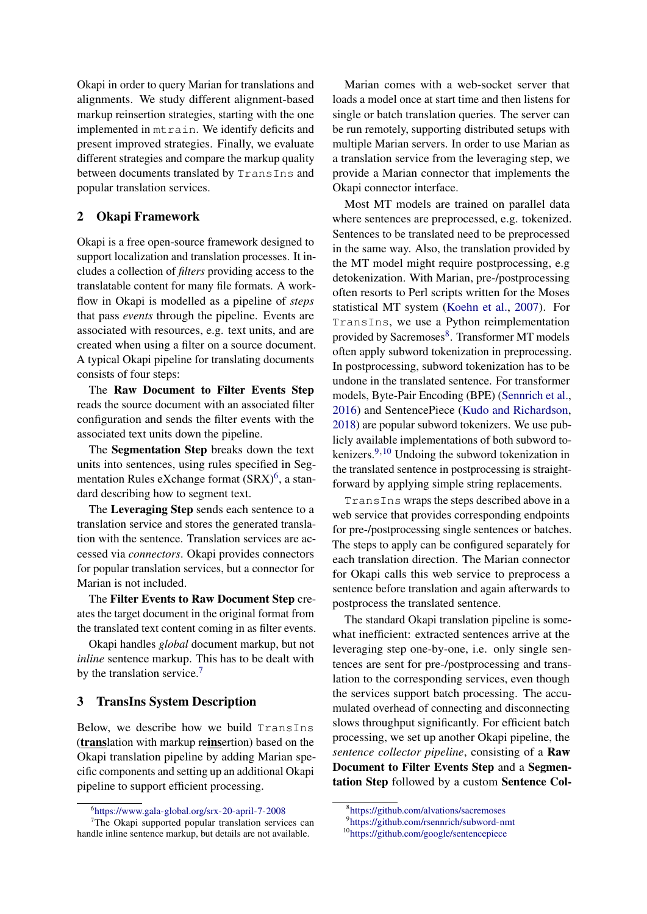Okapi in order to query Marian for translations and alignments. We study different alignment-based markup reinsertion strategies, starting with the one implemented in mtrain. We identify deficits and present improved strategies. Finally, we evaluate different strategies and compare the markup quality between documents translated by TransIns and popular translation services.

## 2 Okapi Framework

Okapi is a free open-source framework designed to support localization and translation processes. It includes a collection of *filters* providing access to the translatable content for many file formats. A workflow in Okapi is modelled as a pipeline of *steps* that pass *events* through the pipeline. Events are associated with resources, e.g. text units, and are created when using a filter on a source document. A typical Okapi pipeline for translating documents consists of four steps:

The Raw Document to Filter Events Step reads the source document with an associated filter configuration and sends the filter events with the associated text units down the pipeline.

The Segmentation Step breaks down the text units into sentences, using rules specified in Seg-mentation Rules eXchange format (SRX)<sup>[6](#page-1-0)</sup>, a standard describing how to segment text.

The Leveraging Step sends each sentence to a translation service and stores the generated translation with the sentence. Translation services are accessed via *connectors*. Okapi provides connectors for popular translation services, but a connector for Marian is not included.

The Filter Events to Raw Document Step creates the target document in the original format from the translated text content coming in as filter events.

Okapi handles *global* document markup, but not *inline* sentence markup. This has to be dealt with by the translation service.<sup>[7](#page-1-1)</sup>

## 3 TransIns System Description

Below, we describe how we build TransIns (translation with markup reinsertion) based on the Okapi translation pipeline by adding Marian specific components and setting up an additional Okapi pipeline to support efficient processing.

Marian comes with a web-socket server that loads a model once at start time and then listens for single or batch translation queries. The server can be run remotely, supporting distributed setups with multiple Marian servers. In order to use Marian as a translation service from the leveraging step, we provide a Marian connector that implements the Okapi connector interface.

Most MT models are trained on parallel data where sentences are preprocessed, e.g. tokenized. Sentences to be translated need to be preprocessed in the same way. Also, the translation provided by the MT model might require postprocessing, e.g detokenization. With Marian, pre-/postprocessing often resorts to Perl scripts written for the Moses statistical MT system [\(Koehn et al.,](#page-6-8) [2007\)](#page-6-8). For TransIns, we use a Python reimplementation provided by Sacremoses[8](#page-1-2). Transformer MT models often apply subword tokenization in preprocessing. In postprocessing, subword tokenization has to be undone in the translated sentence. For transformer models, Byte-Pair Encoding (BPE) [\(Sennrich et al.,](#page-6-9) [2016\)](#page-6-9) and SentencePiece [\(Kudo and Richardson,](#page-6-10) [2018\)](#page-6-10) are popular subword tokenizers. We use publicly available implementations of both subword tokenizers. $9,10$  $9,10$  $9,10$  Undoing the subword tokenization in the translated sentence in postprocessing is straightforward by applying simple string replacements.

TransIns wraps the steps described above in a web service that provides corresponding endpoints for pre-/postprocessing single sentences or batches. The steps to apply can be configured separately for each translation direction. The Marian connector for Okapi calls this web service to preprocess a sentence before translation and again afterwards to postprocess the translated sentence.

The standard Okapi translation pipeline is somewhat inefficient: extracted sentences arrive at the leveraging step one-by-one, i.e. only single sentences are sent for pre-/postprocessing and translation to the corresponding services, even though the services support batch processing. The accumulated overhead of connecting and disconnecting slows throughput significantly. For efficient batch processing, we set up another Okapi pipeline, the *sentence collector pipeline*, consisting of a Raw Document to Filter Events Step and a Segmentation Step followed by a custom Sentence Col-

<span id="page-1-1"></span><span id="page-1-0"></span><sup>6</sup> <https://www.gala-global.org/srx-20-april-7-2008>

 $7$ The Okapi supported popular translation services can handle inline sentence markup, but details are not available.

<span id="page-1-2"></span><sup>8</sup> <https://github.com/alvations/sacremoses>

<span id="page-1-3"></span><sup>9</sup> <https://github.com/rsennrich/subword-nmt>

<span id="page-1-4"></span><sup>10</sup><https://github.com/google/sentencepiece>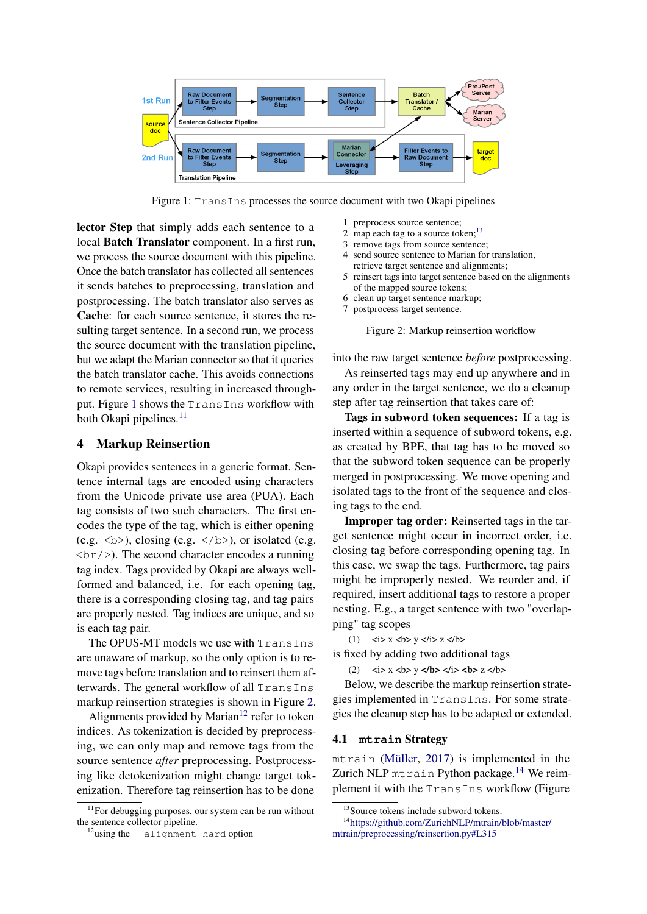<span id="page-2-0"></span>

Figure 1: TransIns processes the source document with two Okapi pipelines

lector Step that simply adds each sentence to a local Batch Translator component. In a first run, we process the source document with this pipeline. Once the batch translator has collected all sentences it sends batches to preprocessing, translation and postprocessing. The batch translator also serves as Cache: for each source sentence, it stores the resulting target sentence. In a second run, we process the source document with the translation pipeline, but we adapt the Marian connector so that it queries the batch translator cache. This avoids connections to remote services, resulting in increased throughput. Figure [1](#page-2-0) shows the TransIns workflow with both Okapi pipelines. $^{11}$  $^{11}$  $^{11}$ 

#### <span id="page-2-7"></span>4 Markup Reinsertion

Okapi provides sentences in a generic format. Sentence internal tags are encoded using characters from the Unicode private use area (PUA). Each tag consists of two such characters. The first encodes the type of the tag, which is either opening (e.g.  $\langle b \rangle$ ), closing (e.g.  $\langle b \rangle$ ), or isolated (e.g.  $\langle \text{br}/\rangle$ ). The second character encodes a running tag index. Tags provided by Okapi are always wellformed and balanced, i.e. for each opening tag, there is a corresponding closing tag, and tag pairs are properly nested. Tag indices are unique, and so is each tag pair.

The OPUS-MT models we use with TransIns are unaware of markup, so the only option is to remove tags before translation and to reinsert them afterwards. The general workflow of all TransIns markup reinsertion strategies is shown in Figure [2.](#page-2-2)

Alignments provided by Marian<sup>[12](#page-2-3)</sup> refer to token indices. As tokenization is decided by preprocessing, we can only map and remove tags from the source sentence *after* preprocessing. Postprocessing like detokenization might change target tokenization. Therefore tag reinsertion has to be done

- <span id="page-2-2"></span>1 preprocess source sentence;
- 2 map each tag to a source token; $^{13}$  $^{13}$  $^{13}$
- 3 remove tags from source sentence; 4 send source sentence to Marian for translation, retrieve target sentence and alignments;
- 5 reinsert tags into target sentence based on the alignments
- of the mapped source tokens; 6 clean up target sentence markup;
- 7 postprocess target sentence.

Figure 2: Markup reinsertion workflow

into the raw target sentence *before* postprocessing.

As reinserted tags may end up anywhere and in any order in the target sentence, we do a cleanup step after tag reinsertion that takes care of:

Tags in subword token sequences: If a tag is inserted within a sequence of subword tokens, e.g. as created by BPE, that tag has to be moved so that the subword token sequence can be properly merged in postprocessing. We move opening and isolated tags to the front of the sequence and closing tags to the end.

Improper tag order: Reinserted tags in the target sentence might occur in incorrect order, i.e. closing tag before corresponding opening tag. In this case, we swap the tags. Furthermore, tag pairs might be improperly nested. We reorder and, if required, insert additional tags to restore a proper nesting. E.g., a target sentence with two "overlapping" tag scopes

 $(1)$   $\langle i \rangle$  x  $\langle b \rangle$  y  $\langle i \rangle$  z  $\langle b \rangle$ 

is fixed by adding two additional tags

(2)  $\langle x \rangle \times \langle y \rangle = \langle x \rangle \times \langle y \rangle \langle x \rangle = \langle x \rangle \times \langle y \rangle$ 

Below, we describe the markup reinsertion strategies implemented in TransIns. For some strategies the cleanup step has to be adapted or extended.

#### <span id="page-2-6"></span>4.1 **mtrain** Strategy

mtrain [\(Müller,](#page-6-4) [2017\)](#page-6-4) is implemented in the Zurich NLP mtrain Python package.<sup>[14](#page-2-5)</sup> We reimplement it with the TransIns workflow (Figure

<span id="page-2-1"></span><sup>&</sup>lt;sup>11</sup>For debugging purposes, our system can be run without the sentence collector pipeline.

<span id="page-2-3"></span><sup>12</sup>using the --alignment hard option

<span id="page-2-5"></span><span id="page-2-4"></span><sup>&</sup>lt;sup>13</sup>Source tokens include subword tokens.

<sup>14</sup>[https://github.com/ZurichNLP/mtrain/blob/master/](https://github.com/ZurichNLP/mtrain/blob/master/mtrain/preprocessing/reinsertion.py#L315) [mtrain/preprocessing/reinsertion.py#L315](https://github.com/ZurichNLP/mtrain/blob/master/mtrain/preprocessing/reinsertion.py#L315)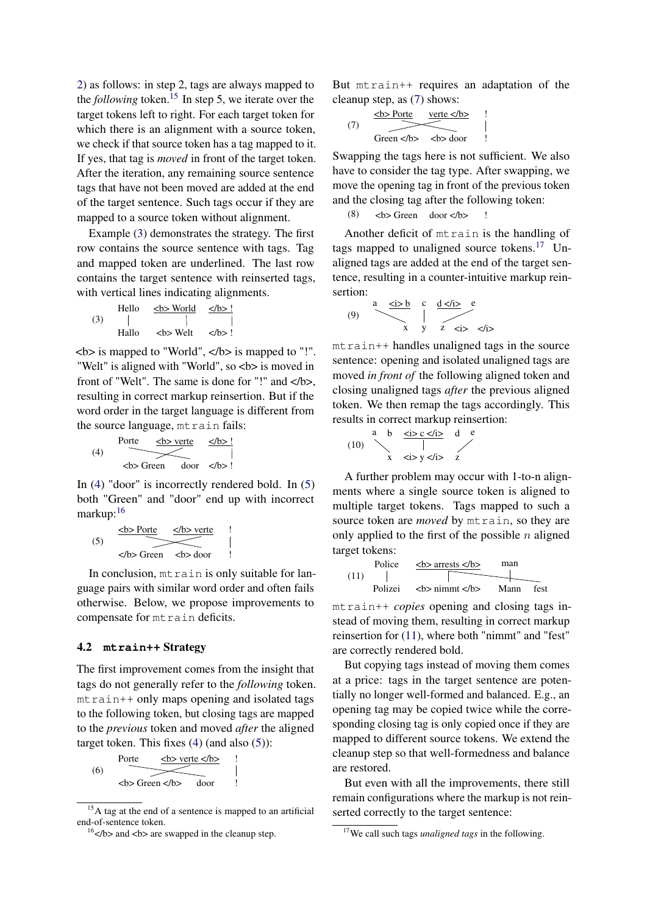[2\)](#page-2-2) as follows: in step 2, tags are always mapped to the *following* token.<sup>[15](#page-3-0)</sup> In step 5, we iterate over the target tokens left to right. For each target token for which there is an alignment with a source token, we check if that source token has a tag mapped to it. If yes, that tag is *moved* in front of the target token. After the iteration, any remaining source sentence tags that have not been moved are added at the end of the target sentence. Such tags occur if they are mapped to a source token without alignment.

Example [\(3\)](#page-3-1) demonstrates the strategy. The first row contains the source sentence with tags. Tag and mapped token are underlined. The last row contains the target sentence with reinserted tags, with vertical lines indicating alignments.

<span id="page-3-1"></span>
$$
(3) \tHello \t
$$
\xrightarrow{\text{Ab> World}} \t\frac{\langle b \rangle!}{\vert}
$$
\nHallo \t
$$
\xrightarrow{\text{Ab> Well}} \t\langle b \rangle!
$$
$$

 **is mapped to "World",**  $**5**$  **is mapped to "!".** "Welt" is aligned with "World", so <b> is moved in front of "Welt". The same is done for "!" and  $\langle$ b>, resulting in correct markup reinsertion. But if the word order in the target language is different from the source language, mtrain fails:

<span id="page-3-2"></span>(4) 
$$
\xrightarrow{\text{Porte}} \xrightarrow{\text{db} > \text{verte}} \xrightarrow{\text{db} > !}
$$
  
\n**db** Green door **db**

In [\(4\)](#page-3-2) "door" is incorrectly rendered bold. In [\(5\)](#page-3-3) both "Green" and "door" end up with incorrect markup:<sup>[16](#page-3-4)</sup>

<span id="page-3-3"></span>
$$
(5) \quad \xrightarrow{\text{db> Porte}} \quad \xrightarrow{\text{db> verte}} \quad \downarrow
$$
\n
$$
\xrightarrow{\text{db> Groen}} \quad \text{db> door} \quad \downarrow
$$

In conclusion, mtrain is only suitable for language pairs with similar word order and often fails otherwise. Below, we propose improvements to compensate for mtrain deficits.

## <span id="page-3-8"></span>4.2 **mtrain++** Strategy

The first improvement comes from the insight that tags do not generally refer to the *following* token. mtrain++ only maps opening and isolated tags to the following token, but closing tags are mapped to the *previous* token and moved *after* the aligned target token. This fixes [\(4\)](#page-3-2) (and also [\(5\)](#page-3-3)):

(6)

\nPorte 
$$
\left\{\frac{\text{b} > \text{verte} < \text{lb}}{\text{c} > \text{Green} < \text{lb}}
$$

\n(a)  $\left\{\frac{\text{b} > \text{verte} < \text{lb}}{\text{d} & \text{loop}}\right\}$ 

But mtrain++ requires an adaptation of the cleanup step, as [\(7\)](#page-3-5) shows:

<span id="page-3-5"></span>
$$
(7) \quad \xrightarrow{\text{Sb-Porte}} \quad \text{vertex} < \text{b} > \quad \text{C} < \text{b} > \quad \text{C} < \text{b} > \quad \text{C} < \text{b} > \quad \text{C} < \text{b} > \quad \text{C} < \text{b} > \quad \text{C} < \text{b} > \quad \text{C} < \text{b} > \quad \text{C} < \text{b} > \quad \text{C} < \text{C} < \text{C} < \text{C} < \text{C} < \text{C} < \text{C} < \text{C} < \text{C} < \text{C} < \text{C} < \text{C} < \text{C} < \text{C} < \text{C} < \text{C} < \text{C} < \text{C} < \text{C} < \text{C} < \text{C} < \text{C} < \text{C} < \text{C} < \text{C} < \text{C} < \text{C} < \text{C} < \text{C} < \text{C} < \text{C} < \text{C} < \text{C} < \text{C} < \text{C} < \text{C} < \text{C} < \text{C} < \text{C} < \text{C} < \text{C} < \text{C} < \text{C} < \text{C} < \text{C} < \text{C} < \text{C} < \text{C} < \text{C} < \text{C} < \text{C} < \text{C} < \text{C} < \text{C} < \text{C} < \text{C} < \text{C} < \text{C} < \text{C} < \text{C} < \text{C} < \text{C} < \text{C} < \text{C} < \text{C} < \text{C} < \text{C} < \text{C} < \text{C} < \text{C} < \text{C} < \text{C} < \text{C
$$

Swapping the tags here is not sufficient. We also have to consider the tag type. After swapping, we move the opening tag in front of the previous token and the closing tag after the following token:

$$
(8) \qquad \text{>b> Green} \qquad \text{door} < \text{/b>} \qquad !
$$

Another deficit of mtrain is the handling of tags mapped to unaligned source tokens.<sup>[17](#page-3-6)</sup> Unaligned tags are added at the end of the target sentence, resulting in a counter-intuitive markup reinsertion:

a <i> b c d </i> e (9) x y z <i> </i>

mtrain++ handles unaligned tags in the source sentence: opening and isolated unaligned tags are moved *in front of* the following aligned token and closing unaligned tags *after* the previous aligned token. We then remap the tags accordingly. This results in correct markup reinsertion:

$$
(10) \quad \begin{array}{c|cc}\n\text{a} & \text{b} & \frac{\text{}< i > c < i >}{i} \\
\hline\n\text{c} & & & & \\
\text{c} & & & & \\
\text{x} & & & & & \\
\end{array}
$$

A further problem may occur with 1-to-n alignments where a single source token is aligned to multiple target tokens. Tags mapped to such a source token are *moved* by mtrain, so they are only applied to the first of the possible  $n$  aligned target tokens:

<span id="page-3-7"></span>
$$
\begin{array}{c|c}\n\text{Police} & \xrightarrow{\text{&}\text{&}\text{orrests} \xrightarrow{\text{&}\text{max}} \text{man}} \\
\hline\n\text{Polizei} & \xrightarrow{\text{&}\text{&}\text{right} \xrightarrow{\text{&}\text{times}} \text{Mean}} \text{fest}\n\end{array}
$$

mtrain++ *copies* opening and closing tags instead of moving them, resulting in correct markup reinsertion for [\(11\)](#page-3-7), where both "nimmt" and "fest" are correctly rendered bold.

But copying tags instead of moving them comes at a price: tags in the target sentence are potentially no longer well-formed and balanced. E.g., an opening tag may be copied twice while the corresponding closing tag is only copied once if they are mapped to different source tokens. We extend the cleanup step so that well-formedness and balance are restored.

But even with all the improvements, there still remain configurations where the markup is not reinserted correctly to the target sentence:

<span id="page-3-0"></span><sup>&</sup>lt;sup>15</sup>A tag at the end of a sentence is mapped to an artificial end-of-sentence token.

<span id="page-3-4"></span> $16$   $\lt$ /b> and  $\lt$ b> are swapped in the cleanup step.

<span id="page-3-6"></span><sup>17</sup>We call such tags *unaligned tags* in the following.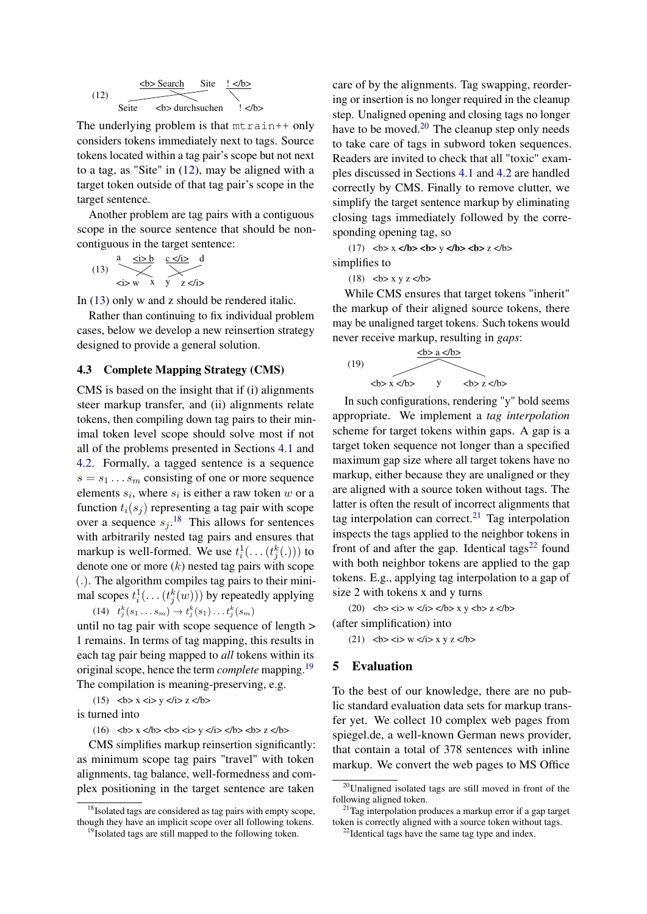<span id="page-4-0"></span>(12) 
$$
\xrightarrow{\text{Sbc} \text{Search}} \xrightarrow{\text{Site}} \xleftarrow{\text{l} < / b > \text{f}} \xleftarrow{\text{Site}}
$$
\n
$$
\xleftarrow{\text{Site}} \xleftarrow{\text{Sbc} \text{ durchsuchen}} \xleftarrow{\text{I}} \xleftarrow{\text{I}} \xleftarrow{\text{I}}
$$

The underlying problem is that  $m$ train++ only considers tokens immediately next to tags. Source tokens located within a tag pair's scope but not next to a tag, as "Site" in [\(12\)](#page-4-0), may be aligned with a target token outside of that tag pair's scope in the target sentence.

Another problem are tag pairs with a contiguous scope in the source sentence that should be noncontiguous in the target sentence:

<span id="page-4-1"></span>(13) 
$$
\begin{array}{c}\n a \xrightarrow{25b} \xrightarrow{c \angle i > d} \\
 \searrow \xrightarrow{25y} \xrightarrow{x} \yrightarrow{z \angle i >}\n \end{array}
$$

In [\(13\)](#page-4-1) only w and z should be rendered italic.

Rather than continuing to fix individual problem cases, below we develop a new reinsertion strategy designed to provide a general solution.

#### 4.3 Complete Mapping Strategy (CMS)

CMS is based on the insight that if (i) alignments steer markup transfer, and (ii) alignments relate tokens, then compiling down tag pairs to their minimal token level scope should solve most if not all of the problems presented in Sections [4.1](#page-2-6) and [4.2.](#page-3-8) Formally, a tagged sentence is a sequence  $s = s_1 \dots s_m$  consisting of one or more sequence elements  $s_i$ , where  $s_i$  is either a raw token w or a function  $t_i(s_i)$  representing a tag pair with scope over a sequence  $s_j$ .<sup>[18](#page-4-2)</sup> This allows for sentences with arbitrarily nested tag pairs and ensures that markup is well-formed. We use  $t_i^1(\ldots(t_j^k(\cdot)))$  to denote one or more  $(k)$  nested tag pairs with scope (.). The algorithm compiles tag pairs to their minimal scopes  $t_i^1(\ldots(t_j^k(w)))$  by repeatedly applying  $(14)$   $t_j^k(s_1...s_m) \to t_j^k(s_1)...t_j^k(s_m)$ 

until no tag pair with scope sequence of length > 1 remains. In terms of tag mapping, this results in each tag pair being mapped to *all* tokens within its original scope, hence the term *complete* mapping.[19](#page-4-3) The compilation is meaning-preserving, e.g.

 $(15)$   $**5**$  $\times$ *x*  $\times$  $**6**$  $\times$  $**7**$  $\times$  $**7**$ 

is turned into

 $(16)$   $**b** > **x '**$  **<b>b</b> > <b>'</b> <b>b</b> > <b>'</b> <b>b</b> > <b>y</b> <b>'</b> <b>'</b> <b>'</b> <b>'</b> <b>'</b> <b>'</b> <b>'</b> <b>'</b> <b>'</b> <b>'</b> <b>'</b> <b>'</b> <b>'</b> <b>'</b> <b>'</b> <b>'</b> <b>'</b> <b>'</b> <b>'</b> <b>'</b> <b>'</b> <b>'</b> <b>'</b> <b>'</b> <b>'</b> <b>'** 

CMS simplifies markup reinsertion significantly: as minimum scope tag pairs "travel" with token alignments, tag balance, well-formedness and complex positioning in the target sentence are taken

care of by the alignments. Tag swapping, reordering or insertion is no longer required in the cleanup step. Unaligned opening and closing tags no longer have to be moved. $^{20}$  $^{20}$  $^{20}$  The cleanup step only needs to take care of tags in subword token sequences. Readers are invited to check that all "toxic" examples discussed in Sections [4.1](#page-2-6) and [4.2](#page-3-8) are handled correctly by CMS. Finally to remove clutter, we simplify the target sentence markup by eliminating closing tags immediately followed by the corresponding opening tag, so

 $(17)$   $**5**$  $\times$  **<b>x**  $\times$  **<b>b**  $\times$  **y**  $\times$  **b**  $\times$  **c**  $\times$  **b**  $\times$  **z**  $\times$  **b** 

simplifies to

 $(18)$   $**5**$  **x y z**  $**5**$ 

While CMS ensures that target tokens "inherit" the markup of their aligned source tokens, there may be unaligned target tokens. Such tokens would never receive markup, resulting in *gaps*:



In such configurations, rendering "y" bold seems appropriate. We implement a *tag interpolation* scheme for target tokens within gaps. A gap is a target token sequence not longer than a specified maximum gap size where all target tokens have no markup, either because they are unaligned or they are aligned with a source token without tags. The latter is often the result of incorrect alignments that tag interpolation can correct. $21$  Tag interpolation inspects the tags applied to the neighbor tokens in front of and after the gap. Identical tags<sup>[22](#page-4-6)</sup> found with both neighbor tokens are applied to the gap tokens. E.g., applying tag interpolation to a gap of size 2 with tokens x and y turns

 $(20)$   $**b**$  $**c**$  $**i**$  $**v**$  $**k**$  $**j**$  $**k**$  $**k**$  $**k**$  $**k**$  $**k**$  $**k**$  $**k**$ 

(after simplification) into

 $(21)$   $**b**$  $**i**$  $**w k**$  $**k**$  $**y**$  $**z k**$ 

#### 5 Evaluation

To the best of our knowledge, there are no public standard evaluation data sets for markup transfer yet. We collect 10 complex web pages from spiegel.de, a well-known German news provider, that contain a total of 378 sentences with inline markup. We convert the web pages to MS Office

<span id="page-4-2"></span><sup>&</sup>lt;sup>18</sup>Isolated tags are considered as tag pairs with empty scope, though they have an implicit scope over all following tokens.

<span id="page-4-3"></span><sup>&</sup>lt;sup>19</sup>Isolated tags are still mapped to the following token.

<span id="page-4-4"></span><sup>20</sup>Unaligned isolated tags are still moved in front of the following aligned token.

<span id="page-4-5"></span> $21$ Tag interpolation produces a markup error if a gap target token is correctly aligned with a source token without tags.

<span id="page-4-6"></span><sup>&</sup>lt;sup>22</sup>Identical tags have the same tag type and index.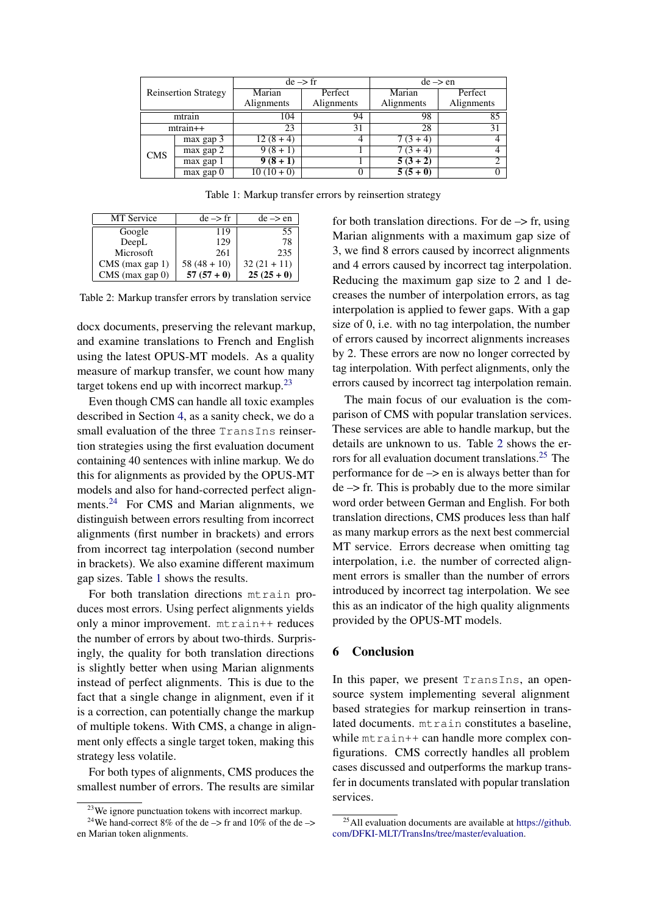<span id="page-5-2"></span>

| <b>Reinsertion Strategy</b> |               | $de \rightarrow fr$ |            | $de \rightarrow en$ |            |
|-----------------------------|---------------|---------------------|------------|---------------------|------------|
|                             |               | Marian              | Perfect    | Marian              | Perfect    |
|                             |               | Alignments          | Alignments | Alignments          | Alignments |
| mtrain                      |               | 104                 | 94         | 98                  | 85         |
| $mtrain++$                  |               | 23                  | 31         | 28                  | 31         |
| <b>CMS</b>                  | max gap 3     | $12(8+4)$           | 4          | $7(3+4)$            |            |
|                             | max gap 2     | $9(8+1)$            |            | $7(3+4)$            |            |
|                             | max gap 1     | $9(8+1)$            |            | $5(3+2)$            |            |
|                             | $max$ gap $0$ | $10(10+0)$          |            | $5(5+0)$            |            |

Table 1: Markup transfer errors by reinsertion strategy

<span id="page-5-3"></span>

| <b>MT</b> Service | $de \rightarrow fr$ | $de \rightarrow en$ |
|-------------------|---------------------|---------------------|
| Google            | 119                 | 55                  |
| DeepL             | 129                 | 78                  |
| Microsoft         | 261                 | 235                 |
| $CMS$ (max gap 1) | $58(48+10)$         | $32(21+11)$         |
| CMS (max gap 0)   | $57(57+0)$          | $25(25+0)$          |

Table 2: Markup transfer errors by translation service

docx documents, preserving the relevant markup, and examine translations to French and English using the latest OPUS-MT models. As a quality measure of markup transfer, we count how many target tokens end up with incorrect markup.<sup>[23](#page-5-0)</sup>

Even though CMS can handle all toxic examples described in Section [4,](#page-2-7) as a sanity check, we do a small evaluation of the three TransIns reinsertion strategies using the first evaluation document containing 40 sentences with inline markup. We do this for alignments as provided by the OPUS-MT models and also for hand-corrected perfect align-ments.<sup>[24](#page-5-1)</sup> For CMS and Marian alignments, we distinguish between errors resulting from incorrect alignments (first number in brackets) and errors from incorrect tag interpolation (second number in brackets). We also examine different maximum gap sizes. Table [1](#page-5-2) shows the results.

For both translation directions mtrain produces most errors. Using perfect alignments yields only a minor improvement. mtrain++ reduces the number of errors by about two-thirds. Surprisingly, the quality for both translation directions is slightly better when using Marian alignments instead of perfect alignments. This is due to the fact that a single change in alignment, even if it is a correction, can potentially change the markup of multiple tokens. With CMS, a change in alignment only effects a single target token, making this strategy less volatile.

For both types of alignments, CMS produces the smallest number of errors. The results are similar for both translation directions. For  $de \rightarrow fr$ , using Marian alignments with a maximum gap size of 3, we find 8 errors caused by incorrect alignments and 4 errors caused by incorrect tag interpolation. Reducing the maximum gap size to 2 and 1 decreases the number of interpolation errors, as tag interpolation is applied to fewer gaps. With a gap size of 0, i.e. with no tag interpolation, the number of errors caused by incorrect alignments increases by 2. These errors are now no longer corrected by tag interpolation. With perfect alignments, only the errors caused by incorrect tag interpolation remain.

The main focus of our evaluation is the comparison of CMS with popular translation services. These services are able to handle markup, but the details are unknown to us. Table [2](#page-5-3) shows the er-rors for all evaluation document translations.<sup>[25](#page-5-4)</sup> The performance for de –> en is always better than for  $de \rightarrow$  fr. This is probably due to the more similar word order between German and English. For both translation directions, CMS produces less than half as many markup errors as the next best commercial MT service. Errors decrease when omitting tag interpolation, i.e. the number of corrected alignment errors is smaller than the number of errors introduced by incorrect tag interpolation. We see this as an indicator of the high quality alignments provided by the OPUS-MT models.

#### 6 Conclusion

In this paper, we present TransIns, an opensource system implementing several alignment based strategies for markup reinsertion in translated documents. mtrain constitutes a baseline, while  $mtrain++$  can handle more complex configurations. CMS correctly handles all problem cases discussed and outperforms the markup transfer in documents translated with popular translation services.

<span id="page-5-1"></span><span id="page-5-0"></span><sup>&</sup>lt;sup>23</sup>We ignore punctuation tokens with incorrect markup.

<sup>&</sup>lt;sup>24</sup>We hand-correct 8% of the de  $\rightarrow$  fr and 10% of the de  $\rightarrow$ en Marian token alignments.

<span id="page-5-4"></span><sup>25</sup>All evaluation documents are available at [https://github.](https://github.com/DFKI-MLT/TransIns/tree/master/evaluation) [com/DFKI-MLT/TransIns/tree/master/evaluation.](https://github.com/DFKI-MLT/TransIns/tree/master/evaluation)